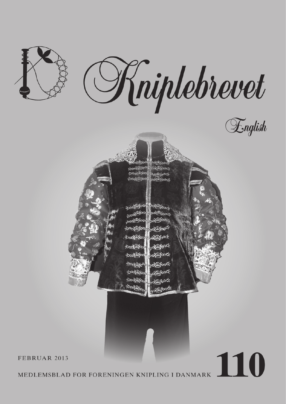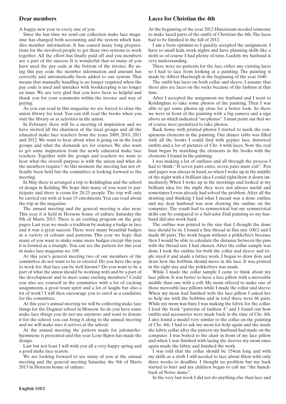## **Dear members**

A happy new year to every one of you

Since the last time we send out collection make lace magazine has changed both accounting and the system which handles member information. It has caused many long preparations for the involved people to get these two systems to work together. All the effort has finally paid off and you members are a part of the success. It is wonderful that so many of you have used the pay code at the bottom of the invoice. By using this pay code the member information and amount has correctly and automatically been added to our system. That means that manually handling is no longer required when the pay code is used and mistakes with bookkeeping is no longer an issue. We are very glad that you have been so helpful and thank you for your comments within the invoice and way of paying.

As you can read in this magazine we are forced to close the union library for lend. You can still read the books when you visit the library or at activities in the union.

In February there will be a meeting of inspiration and we have invited all the chairmen of the local groups and all the educated make lace teachers from the years 2009, 2010, 2011 and 2012. We want to hear about what is going on in the local groups and what the demands are for courses. We also want to get some inspiration from the newly educated make lace teachers. Together with the groups and teachers we want to hear what the overall purpose is with the union and what do the members require? At this moment the meeting has not officially been held but the committee is looking forward to the meeting.

In May there is arranged a trip to Koldinghus and the school of design in Kolding. We hope that many of you want to participate and there is room for 20-25 people. The trip will only be carried out with at least 15 enrolments. You can read about the trip in the magazine.

The annual meeting and the general meeting is also near. This year it is held in Horsens house of culture Saturday the 9th of Marts 2013. There is an exciting program on the gray pages. Last year we made a tradition by making a badge in lace and it was a great success. There were many beautiful badges in a variety of colours and patterns. This year we hope that many of you want to make some more badges except this year it is formed as a triangle. You can see the pattern for this year in make lace magazine no. 109.

At this year's general meeting two of our members of the committee do not want to be re-elected. Do you have the urge to work for, that lace can be well known? Do you want to be a part of what the union should be working with and be a part of the development and to meet some exciting members? Could you also see yourself in the committee with a lot of exciting assignments, a great team spirit and a lot of laughs but also a lot of work? I will then encourage you to enrol as a candidate for the committee.

At this year's annual meeting we will be collecting make lace things for the Dagmar school in Moscow. So do you have some make lace things you do not use anymore and want to donate it for the school, you can bring it along to the annual meeting and we will make sure it arrives at the school.

At the annual meeting the pattern made for julemærkehjemmene is presented and this year Lene Bjørn has made the design.

Last but not least I will wish you all a very happy spring and a good make lace season.

We are looking forward to see many of you at the annual meeting and the general meeting Saturday the 9th of Marts 2013 in Horsens house of culture.

### **Laces for Christian the 4th**

At the beginning of the year 2012 Historicum needed someone to make laced parts of the outfit of Christian the 4th. The laces had to be finished in the fall of 2012.

I am a born optimist so I quickly accepted the assignment. I have to small kids, work nights and have planning skills like a sloth so of course I had plenty of time. Luckily my husband is very understanding.

There were no patterns for the lace either any existing laces so I had to lace from looking at a painting. The painting is made by Albert Haelwegh in the beginning of the year 1640.

The outfit has laces on both collar and sleeve. I assume that there also are laces on the socks because of the fashion at that time.

After I accepted the assignment my husband and I went to Koldinghus to take some photos of the painting. Then I was able to get some photos up close for a better look. So there we were in front of the painting with a big camera and a sign above us which indicated "no photos". I must point out that we of course were permitted to take photos.

Back home with printed photos I started to mark the conspicuous elements in the painting. Our dinner table was filled with all the books I could find with gepúre lace, historical outfits and a lot of pictures of Chr. 4 with laces. Now the real hunt began by matching the elements in the books with the elements I found in the painting.

I was making a lot of outlines and all through the process I had to think: "If seven pairs enter, seven pairs must exit". Pen and paper was always in hand, so when I woke up in the middle of the night with a brilliant idea I could right/draw it down immediately. When I woke up in the mornings and looked at my brilliant idea for the night they were not always useful and sometimes I even already had solved the problem. After all the drawing and thinking I had what I meant was a done outline and my dear husband was now drawing the outline on the computer. The result had to symmetrical but my symmetrical skills can be compared to a Salvador Dalí painting so my husband did also work hard.

The outline was printed in the size that I thought the done lace should be in. I found a fine thread in flax size 100/2 and I made 60 pairs. The work began without a prikkebrev because then I would be able to calculate the distance between the pins with the thread size I had chosen. After the collar sample was done I took the outline for both the collar and sleeve and triple sized it and made a lattice work. I began to draw dots and draw how the bobbins should move in the lace. It was printed in the right size and the prikkebrev was made.

While I made the collar sample I came to think about my lace pillow. It was better to have a lace pillow with a moveable middle than one with a roll. My mom offered to make one of those moveable lace pillows while I made the collar and sleeve. When my mom had finished with the lace pillow I asked her to help me with the bobbins and in total there were 66 pairs. While my mom was busy I was making the fabric for the collar. I lend the book "patterns of fashion 4" and I found out how outfits and accessories were made back in the time of Chr. 4th. I also found a model very similar to the collar on the painting of Chr. 4th. I had to ask my mom for help again and she made the fabric collar after the pattern my husband had made on the computer. I was bolted to the chair in front of my lace pillow and when I was finished with lacing the sleeves my mom once again made the fabric and finished the work.

I was told that the collar should be 154cm long and with my skills as a sloth I still needed to lace about 60cm with only three weeks to deadline. I thought no problem but my back started to hurt and my children began to call me "the hunchback of Notre dame".

In the very last week I did not do anything else than lace and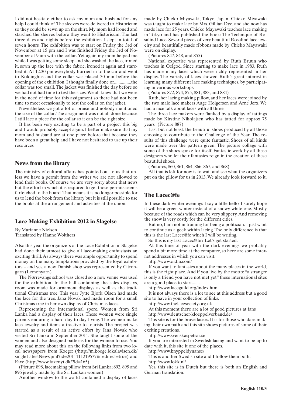I did not hesitate either to ask my mom and husband for any help I could think of. The sleeves were delivered to Historicum so they could be sewn up on the shirt. My mom had ironed and starched the sleeves before they went to Historicum. The last three days and nights before the exhibition I slept in total of seven hours. The exhibition was to start on Friday the 3rd of November at 15 pm and I was finished Friday the 3rd of November at 9 am with the collar. Yet again my mom helped me while I was getting some sleep and she washed the lace, ironed it, sewn up the lace with the fabric, ironed it again and starched it. At 12:30 pm everybody hurried in to the car and went to Koldinghus and the collar was placed 30 min before the opening of the exhibition. I thought finally done or...............the collar was too small. The jacket was finished the day before so we had not had time to test the sizes. We all knew that we were in the need of time for this assignment so there had not been time to meet occasionally to test the collar on the jacket.

Nevertheless we got a lot of praise and nobody mentioned the size of the collar. The assignment was not all done because I still lace a piece for the collar so it can be the right size.

It has been very exciting to be a part of a project this big and I would probably accept again. I better make sure that my mom and husband are at one piece before that because they have been a great help and I have not hesitated to use up their resources.

#### **News from the library**

The ministry of cultural affairs has pointed out to us that unless we have a permit from the writer we are not allowed to lend their books. Of course we are very sorry about that news but the effort in which it is required to get those permits seems farfetched to the board. That means it is no longer possible for us to lend the book from the library but it is still possible to use the books at the arrangement and activities at the union.

#### **Lace Making Exhibition 2012 in Slagelse**

By Marianne Nielsen Translated by Hanne Wolthers

Also this year the organizers of the Lace Exhibition in Slagelse had done their utmost to give all lace-making enthusiasts an exciting thrill. As always there was ample opportunity to spend money on the many temptations provided by the loyal exhibitors – and yes, a new Danish shop was represented by Citrongarn (Lemonyarn).

The Nørrevangs school was closed so a new venue was used for the exhibition. In the hall containing the sales displays, room was made for ornament displays as well as the traditional Christmas tree. This year Jytte Bjork Olsen had made the lace for the tree. Jana Novak had made room for a small Christmas tree in her own display of Christmas laces.

Representing the international spere, Women from Sri Lanka had a display of their laces. These women were single parents enduring a hard day-to-day living. The women make lace jewelry and items attractive to tourists. The project was started as a result of an active effort by Jana Novak who visited Sri Lanka in September 2011. She taught some of the women and also designed patterns for the women to use. You may read more about this on the following links from two local newspapers from Koege: (/http://m.koege.lokalavisen.dk/ singleLatestNews.pml?id=2011111219577&redirect=true) and Faxe (http://www.faxenyt.dk/?ld=165).

(Picture 898, lacemaking pillow from Sri Lanka; 892, 895 and 896 jewelry made by the Sri Lankan women)

Another window to the world contained a display of laces

made by Chieko Miyawaki, Tokyo, Japan. Chieko Miyawaki was taught to make lace by Mrs. Gillian Dye, and she now has made lace for 25 years. Chieko Mayawaki teaches lace making in Tokyo and has published the book: The Technique of Rosalind Lace. Several pieces of very beautiful Rosalind lace jewelry and beautifully made ribbons made by Chieko Mayawaki were on display.

(Pictures 847, 848, and 855)

National expertise was represented by Ruth Bruun who teaches in Oelgod. Since starting to make lace in 1983, Ruth has made many laces which were richly represented in her display. The variety of laces showed Ruth's great interest in learning many different lace making techniques, by participating in various workshops.

(Pictures 872, 874, 875, 881, 883, and 884)

Ruth, her lacing making pillow, and her laces were joined by the two male lace makers Aage Holgersen and Arne Jerx. We had a nice talk about laces with all three.

The three lace makers were flanked by a display of tattings made by Kirstine Nikolajsen who has tatted for approx 75 years. (Picture 887)

Last but not least: the beautiful shoes produced by all those choosing to contribute to the Challenge of the Year. The results of this challenge were quite fantastic. Shoes of all kinds were made over the pattern given. The picture collage with some of the shoes spoke for itself. Fantastic work by all these designers who let their fantasies reign in the creation of these beautiful shoes.

(Pictures, 860, 861, 864, 866, 867, and 868)

All that is left for now is to wait and see what the organizers put on the pillow for us in 2013. We already look forward to it.

#### **The Lacec@fe**

In these dark winter evenings I say a little hello. I surely hope it will be a green winter instead of a snowy white one. Mostly because of the roads which can be very slippery. And removing the snow is very costly for the different cities.

But no, I am not in training for being a politician. I just want to continue as a geek within lacing. The only difference is that this is the last Lacec@fe which I will be writing.

So this is my last Lacec@fe? Let's get started.

At this time of year with the dark evenings we probably spend a bit more time at the computer, so here are some internet addresses in which you can visit.

http://www.oidfa.com/

If you want to fantasies about the many places in the world, this is the right place. And if you live by the motto: "a stranger is only a friend you have not met yet" these international sites are a good place to start.......

http://www.laceguild.org/index.html

It is not always there is a lot to see at this address but a good site to have in your collection of links.

http://www.thelacesociety.org.uk

At this moment there are a lot of good pictures at fans.

http://www.deutscher-kloeppelverband.de/

This site is for the brave lacers. It is for those who dare making their own path and this site shows pictures of some of their exciting creations.

http://www.svenskaspetsar.se

If you are interested in Swedish lacing and want to be up to date with it, this site it one of the places.

http://www.knyppeldynanse/

This is another Swedish site and I follow them both.

http://www.lokk.nl/

Yes, this site is in Dutch but there is both an English and German translation.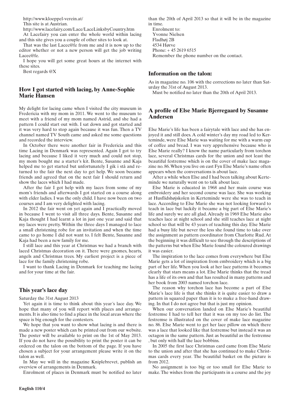http://www.kloeppel-verein.at/

This site is at Austrian.

http://www.lacefairy.com/Lace/LaceLinksbyCountry.htm

At Lacefairy you can enter the whole world within lacing and this site gives you a couple of other sites to look at.

That was the last Lacec@fe from me and it is now up to the editor whether or not a new person will get the job writing Lacec@fe.

I hope you will get some great hours at the internet with these sites.

Best regards @X

## **How I got started with lacing, by Anne-Sophie Marie Hansen**

My delight for lacing came when I visited the city museum in Fredericia with my mom in 2011. We went to the museum to meet with a friend of my mom named Astrid, and she had a pattern I could start out with. I sat down and got started and it was very hard to stop again because it was fun. Then a TV channel named TV South came and asked me some questions and recorded the interview.

In October there were another fair in Fredericia and this time Lacing in Denmark was represented. Again I got to try lacing and because I liked it very much and could not stop, my mom bought me a starter's kit. Bente, Susanne and Kaja helped me to get started but unfortunately I gik i stå and returned to the fair the next day to get help. We soon became friends and agreed that on the next fair I should return and show the laces which I had made.

After the fair I got help with my laces from some of my mom's friends and afterwards I got started on a course along with elder ladies. I was the only child. I have now been on two courses and I am very delighted with lacing.

In 2012 the fair went on yet again and I practically moved in because I went to visit all three days. Bente, Susanne and Kaja thought I had learnt a lot in just one year and said that my laces were pretty. Within the three days I managed to lace a small christening robe for an invitation and when the time came to go home I did not want to. I felt Bente, Susanne and Kaja had been a new family for me.

I still lace and this year at Christmas we had a branch with laced Christmas decoration on it. There were gnomes, hearts, angels and Christmas trees. My earliest project is a piece of lace for the family christening robe.

I want to thank Lacing in Denmark for teaching me lacing and for your time at the fair.

### **This year's lace day**

Saturday the 31st August 2013

Yet again it is time to think about this year´s lace day. We hope that many of you will report with places and arrangements. It is also time to find a place in the local areas where the space is big enough for the contesters.

We hope that you want to show what lacing is and there is made a new poster which can be printed out from our website. The poster will be available to print on the 1st of May 2013. If you do not have the possibility to print the poster it can be ordered on the talon on the bottom of the page. If you have chosen a subject for your arrangement please write it on the talon as well.

In May we will in the magazine Kniplebrevet, publish an overview of arrangements in Denmark.

Enrolment of places in Denmark must be notified no later

than the 20th of April 2013 so that it will be in the magazine in time.

Enrolment to: Yvonne Nielsen Fladhøj 2B 4534 Hørve Phone: + 45 2619 6515 Remember the phone number on the contact.

### **Information on the talon:**

As in magazine no. 106 with the corrections no later than Saturday the 31st of August 2013.

Must be notified no later than the 20th of April 2013.

## **A profile of Else Marie Bjerregaard by Susanne Andersen**

Else Marie's life has been a fairytale with lace and she has enjoyed it and still does. A cold winter's day my road led to Kerteminde, were Else Marie was waiting for me with a warm cup of coffee and bread. I was very apprehensive because who is Else Marie really? I know the name particularly from torchon lace, several Christmas cards for the union and not least the beautiful festremse which is on the cover of make lace magazine no. 86. When you live on east Fyn Else Marie's name often appears when the conversations is about lace.

After a while when Else and I had been talking about Kerteminde we naturally went on to talk about lace.

Else Marie is educated in 1968 and her main course was embroidery and her second course was lace. She was working at Husflidshøjskolen in Kerteminde were she was to teach in lace. According to Else Marie she was not looking forward to teach in lace but luckily it became a big part of Else Marie's life and surely we are all glad. Already in 1969 Else Marie also teaches lace at night school and she still teaches lace at night school so that will be 43 years of teaching this day. Else Marie had a busy life but never the less she found time to take over the assignment as pattern coordinator from Charlotte Rud. At the beginning it was difficult to see through the descriptions of the patterns but when Else Marie found the coloured drawings it was easier.

The inspiration to the lace comes from everywhere but Else Marie gets a lot of inspiration from embroidery which is a big part of her life. When you look at her lace patterns it becomes clearly that stars means a lot. Else Marie thinks that the tread has a life of its own and that has resulted in many patterns and her book from 2003 named torchon lace.

The reason why torchon lace has become a part of Else Marie's lace life is that she thinks it is quite easier to draw a pattern in squared paper than it is to make a free-hand drawing. In that I do not agree but that is just my opinion.

When our conversation landed on Else Marie's beautiful festremse I had to tell her that it was on my too do list. The festremse is illustrated on the cover of make lace magazine no. 86. Else Marie went to get her lace pillow on which there was a lace that looked like that festremse but instead it was an octagon in the same pattern. Just as beautiful as the festremse , but only with half the lace bobbins.

In 2005 the first lace Christmas card came from Else Marie to the union and after that she has continued to make Christmas cards every year. The beautiful basket on the picture is from 2012.

No assignment is too big or too small for Else Marie to make. The wishes from the participants in a course and the joy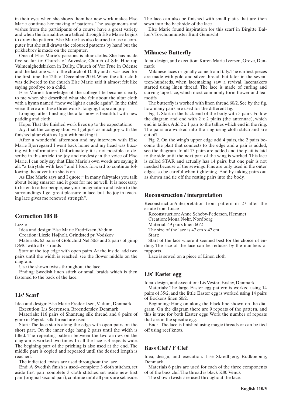in their eyes when she shows them her new work makes Else Marie continue her making of patterns. The assignments and wishes from the participants of a course have a great variety and when the formalities are talked through Else Marie begins to draw the pattern. Else Marie has also learned to use a computer but she still draws the coloured patterns by hand but the prikkebrev is made on the computer.

One of Else Marie's passions is altar cloths. She has made five so far to: Church of Auvnslev, Church of Sdr. Hoejrup Valmenighedskirken in Dalby, Church of Vor Frue in Odense and the last one was to the church of Dalby and it was used for the first time the 12th of December 2004. When the altar cloth was delivered to the church Else Marie said it almost felt like saying goodbye to a child.

Else Marie's knowledge of the college life became clearly to me when she described what she felt about the altar cloth with a hymn named: "now we light a candle again". In the third verse there are these three words: longing, hope and joy.

Longing: after finishing the altar now is beautiful with new padding and cloth.

Hope: That the finished work lives up to the expectations

Joy: that the congregation will get just as much joy with the finished altar cloth as I got with making it.

After a wonderful afternoon and my interview with Else Marie Bjerregaard I went back home and my head was buzzing with information. Unfortunately it is not possible to describe in this article the joy and modesty in the voice of Else Marie. I can only say that Else Marie's own words are saying it all: "a fairytale with lace" and I look forward to continue following the adventure she is on.

As Else Marie says and I quote: "In many fairytales you talk about being smarter and it goes for me as well. It is necessary to listen to other people, use your imagination and listen to the surroundings. I get great pleasure in lace, but the joy in teaching lace gives me renewed strength".

#### **Correction 108 B**

#### Lizzie

Idea and design: Else Marie Fredriksen, Vadum

Creation: Lizzie Højholt, Grindsted pr. Vodskov

Materials: 62 pairs of Goldchild Nel 50/3 and 2 pairs of gimp DMC with all 6 strands

Start at the top edge with open pairs. At the inside, add two pairs until the width is reached, see the flower middle on the diagram.

Use the shown twists throughout the lace.

Ending: Swedish linen stitch or small braids which is then fastened to the back of the lace.

#### **Lis' Scarf**

Idea and design: Else Marie Frederiksen, Vadum, Denmark Execution: Lis Soerensen, Broenderslev, Denmark

Materials: 116 pairs of Shantung silk thread and 8 pairs of gimp in Pagoda silk thread are used.

Start: The lace starts along the edge with open pairs on the short part. On the inner edge hang 2 pairs until the width is filled. The repeating pattern between the two arrows on the diagram is worked two times. In all the lace is 4 repeats wide. The begining part of the pricking is also used at the end. The middle part is copied and repeated until the desired length is reached.

The indicated twists are used throughout the lace.

End: A Swedish finish is used--complete 3 cloth stitches, set aside first pair, complete 3 cloth stitches, set aside new first pair (original second pair), continue until all pairs are set aside.

The lace can also be finished with small plaits that are then sewn into the back side of the lace

Else Marie found inspiration for this scarf in Birgitte Ballon's Torchonmunster Bunt Gemischt

### **Milanese Butterfly**

Idea, design, and execution: Karen Marie Iversen, Greve, Denmark

Milanese laces originally come from Italy. The earliest pieces are made with gold and silver thread, but later in the seventeen-hundreds, when lacemaking saw a revival, lacemakers started using linen thread. The lace is made of curling and curving tape lace, which most commonly form flower and leaf motifs.

The butterfly is worked with linen thread 60/2. See by the fig. how many pairs are used for the different fig.

Fig. 1. Start in the back end of the body with 5 pairs. Follow the diagram and end with 2 x 2 plaits (the antennae), which end in tallies. Add 2 x 1 pair to the tallies which end in the ring. The pairs are worked into the ring using cloth stitch and are cut off.

Fig. 2. On the wing's upper edge add 4 pairs, the 2 pairs become the plait that connects to the edge and a pair is added, see the diagram. In all 13 pairs are added and the plait is laid to the side until the next part of the wing is worked. This lace is called STAR and actually has 14 pairs, but one pair is not needed because of the sewings. Pins are only used in the outer edges, so be careful when tightening. End by taking pairs out as shown and tie off the resting pairs into the body.

#### **Reconstruction / interpretation**

Reconstruction/interpretation from pattern nr 27 after the estate from Lucie

Reconstruction: Anne Scheby-Pedersen, Hemmet

Creation: Mona Nøhr, Nordborg

Material: 49 pairs linen 60/2

The size of the lace is 47 cm x 47 cm

Start:

Start of the lace where it seemed best for the choice of ending. The size of the lace can be reduces by the numbers of rapports.

Lace is sewed on a piece of Linen cloth

#### **Lis' Easter egg**

Idea, design, and execution: Lis Vester, Erslev, Denmark

Materials: The large Easter egg pattern is worked using 14 pairs of 35/2, and the little Easter egg is worked using 14 pairs of Bockens linen 60/2.

Beginning: Hang on along the black line shown on the diagram. On the diagram there are 9 repeats of the pattern, and this is true for both Easter eggs. Work the number of repeats that are in the specific egg.

End: The lace is finished using magic threads or can be tied off using reef knots.

### **Bass Clef / F Clef**

Idea, design, and execution: Lise Skredbjerg, Rudkoebing, Denmark

Materials 6 pairs are used for each of the three components of of the bass clef. The thread is black K80 Venus.

The shown twists are used throughout the lace.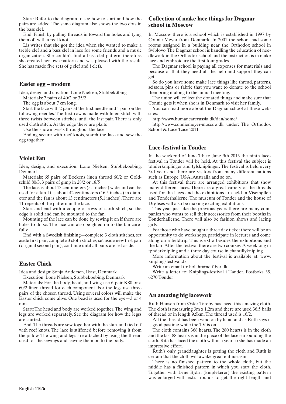Start: Refer to the diagram to see how to start and how the pairs are added. The same diagram also shows the two dots in the bass clef.

End: Finish by pulling threads in toward the holes and tying them off with a reef knot.

Lis writes that she got the idea when she wanted to make a treble clef and a bass clef in lace for some friends and a music organization. She couldn't find a bass clef pattern, therefore she created her own pattern and was pleased with the result. She has made five sets of g clef and f clefs.

#### **Easter egg – modern**

Idea, design and creation: Lone Nielsen, Stubbekøbing

Materials: 7 pairs of 40/2 or 35/2

The egg is about 7 cm long.

Start the lace with 2 pairs at the first needle and 1 pair on the following needles. The first row is made with linen stitch with three twists between stitches, until the last pair. There is only used cloth stitch. At the edge there are plaits

Use the shown twists throughout the lace

Ending secure with reef knots, starch the lace and sew the egg together

### **Violet Fan**

Idea, design, and execution: Lone Nielsen, Stubbekoebing, Denmark

Materials: 65 pairs of Bockens linen thread 60/2 or Goldschild 80/3, 3 pairs of gimp in 28/2 or 18/5

The lace is about 13 centimeters (5.1 inches) wide and can be used for a fan. It is about 42 centimeters (16.5 inches) in diameter and the fan is about 13 centimeters (5.1 inches). There are 11 repeats of the pattern in the lace.

Start and end with a couple of rows of cloth stitch, so the edge is solid and can be mounted to the fan.

Mounting of the lace can be done by sewing it on if there are holes to do so. The lace can also be glued on to the fan carefully.

End with a Swedish finishing—complete 3 cloth stitches, set aside first pair, complete 3 cloth stitches, set aside new first pair (original second pair), continue until all pairs are set aside.

# **Easter Chick**

Idea and design: Sonja Andersen, Ikast, Denmark

Execution: Lone Nielsen, Stubbekoebing, Denmark

Materials: For the body, head, and wing use 6 pair K80 or a 60/2 linen thread for each component. For the legs use three pairs of the chosen thread. Using several colors will make the Easter chick come alive. One bead is used for the  $eye-3$  or 4 mm.

Start: The head and body are worked together. The wing and legs are worked separately. See the diagram for how the legss are started.

End: The threads are sew together with the start and tied off with reef knots. The lace is stiffened before removing it from the pillow. The wing and legs are attached by using the thread used for the sewings and sewing them on to the body.

## **Collection of make lace things for Dagmar school in Moscow**

In Moscow there is a school which is established in 1997 by Connie Meyer from Denmark. In 2001 the school had some rooms assigned in a building near the Orthodox school in Sviblovo. The Dagmar school is handling the education of needlework in the Orthodox school and the instruction is in make lace and embroidery the first four grades.

The Dagmar school is paying all expenses for materials and because of that they need all the help and support they can get.

So do you have some make lace things like thread, patterns, scissors, pins or fabric that you want to donate to the school then bring it along to the annual meeting.

The union will collect the donated things and make sure that Connie gets it when she is in Denmark to visit her family.

You can read more about the Dagmar school at these websites:

http://www.humancarerussia.dk/dan/home/

http://www.conniemeyer-moscow.dk under: The Orthodox School & Lace/Lace 2011

# **Lace-festival in Tønder**

In the weekend of June 7th to June 9th 2013 the ninth lacefestival in Tønder will be held. At this festival the subject is tønderkniplinger and tylskniplinger. The festival is held every 3rd year and there are visitors from many different nations such as Europe, USA, Australia and so on.

At this festival there are arranged exhibitions that show many different laces. There are a great variety of the threads used for the laces and the exhibitions are held in Visemøllen and Tønderhallerne. The museum of Tønder and the house of Drøhses will also be making exciting exhibitions.

This year just like the previous years there are many companies who wants to sell their accessories from their booths in Tønderhallerne. There will also be fashion shows and lacing girls.

For those who have bought a three day ticket there will be an opportunity to do workshops, participate in lectures and come along on a fieldtrip. This is extra besides the exhibitions and the fair. After the festival there are two courses. A weeklong in tønderknipling and a three day course in chantillyknipling.

More information about the festival is available at: www. kniplingsfestival.dk

Write an email to: holahr@netfiber.dk

Write a letter to: Kniplings-festival i Tønder, Postboks 35, 6270 Tønder

# **An amazing big lacework**

Ruth Hansen from Øster Toreby has laced this amazing cloth. The cloth is measuring 3m x 1.2m and there are used 36.5 balls of thread or in length 9.5km. The thread used is 16/2.

All the thread has been wind on by hand and as Ruth says it is good pastime while the TV is on.

The cloth contains 368 hearts. The 280 hearts is in the cloth and the last 88 hearts is in the piece of the lace surrounding the cloth. Rita has laced the cloth within a year so she has made an impressive effort.

Ruth's only granddaughter is getting the cloth and Ruth is certain that the cloth will awake great enthusiasm.

There is no finished pattern to the whole cloth, but the middle has a finished pattern in which you start the cloth. Together with Lene Bjørn (kniplelærer) the existing pattern was enlarged with extra rounds to get the right length and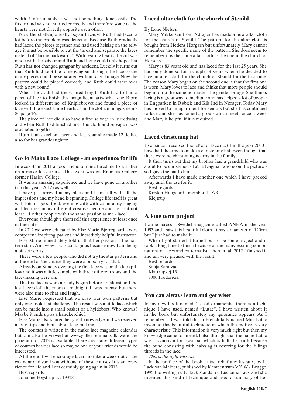width. Unfortunately it was not something done easily. The first round was not started correctly and therefore some of the hearts were not directly opposite each other.

Now the challenge really began because Ruth had laced a lot before the problem was detected. Because Ruth gradually had laced the pieces together and had used helslag on the selvage it must be possible to cut the thread and separate the laces instead of "lacing backwards". With beating hearts the cut was made with the scissor and Ruth and Lene could only hope that Ruth has not changed gangpar by accident. Luckily it turns out that Ruth had kept the same gangpar through the lace so the many pieces could be separated without any damage. Now the pattern could be placed correctly and Ruth could start over with a new round.

When the cloth had the wanted length Ruth had to find a piece of lace to finish this magnificent artwork. Lene Bjørn looked in different no. of Kniplebrevet and found a piece of lace with the exact same hearts as in the cloth, in magazine no. 86 page 16.

The piece of lace did also have a fine selvage in lærredsslag and when Ruth had finished both the cloth and selvage it was crocheted together.

Ruth is an excellent lacer and last year she made 12 doilies also for her granddaughter.

#### **Go to Make Lace College - an experience for life**

In week 45 in 2011 a good friend of mine lured me to with her on a make lace course. The event was on Emmaus Gallery, former Haslev College.

It was an amazing experience and we have gone on another trip this year (2012) as well.

I have just arrived at my place and I am full with all the impressions and my head is spinning. College life itself is great with lots of good food, evening café with community singing and lectures, many different creative people and last but not least, 11 other people with the same passion as me - lace!!

Everyone should give them self this experience at least once in their life.

In 2012 we were educated by Else Marie Bjerregaard a very competent, inspiring, patient and incredibly helpful instructor.

Else Marie immediately told us that her passion is the pattern stars. And wow it was contagious because now I am being a bit star crazy.

There were a few people who did not try the star pattern and at the end of the course they were a bit sorry for that.

Already on Sunday evening the first lace was on the lace pillow and it was a little sample with three different stars and the lace-making were on.

The first lacers were already begun before breakfast and the last lacers left the room at midnight. It was intense but there were also time to chat and laugh.

Else Marie requested that we draw our own patterns but only one took that challenge. The result was a little lace which can be made into a small basket or a hyldebort. Who knows? Maybe it ends up as a handkerchief.

Else Marie also shared her great knowledge and we received a lot of tips and hints about lace-making.

The courses is written in the make lace magazine calendar but can also be viewed at www.galleri-emmaus.dk were the program for 2013 is available. There are many different types of courses besides lace so maybe one of your friends would be interested.

At the end I will encourage lacers to take a week out of the calendar and spoil you with one of these courses. It is an experience for life and I am certainly going again in 2013.

Best regards

Johanne Fogstrup no. 19318

### **Laced altar cloth for the church of Stenild**

By Lone Nielsen

Mary Mikkelsen from Nørager has made a new altar cloth for the church of Stenild. The pattern for the altar cloth is bought from Hedens Hørgarn but unfortunately Mary cannot remember the specific name of the pattern. She does seem to remember it is the same altar cloth as the one in the church of Horsens.

Mary is 83 years old and has laced for the last 25 years. She had only done so for a couple of years when she decided to lace an alter cloth for the church of Stenild for the first time. The reason Mary began on the second one is that the first one is worn. Mary loves to lace and thinks that more people should begin to do the same no matter the gender or age. She thinks lacing is a great way to meditate and has helped a lot of people in Engparken in Røbæk and Kik Ind in Nørager. Today Mary has moved to an apartment for seniors but she has continued to lace and she has joined a group which meets once a week and Mary is helpful if it is required.

## **Laced christening hat**

Ever since I received the letter of lace no. 61 in the year 2000 I have had the urge to make a christening hat. Even though that there were no christening nearby in the family.

It then turns out that my brother had a grandchild who was about to be christened - Little Dagmar who is on the picture so I gave the hat to her.

Afterwards I have made another one which I have packed away until the use for it.

Best regards Kirsten Hougaard - member: 11573 Klejtrup

# **A long term project**

I came across a Swedish magazine called ANNA in the year 1993 and I saw this beautiful cloth. It has a diameter of 120cm but I just had to make it.

When I got started it turned out to be some project and it took a long time to finish because of the many exciting combinations of laces and patterns. But then in fall 2012 I finished it and am very pleased with the result.

Best regards Sonja Sandvad Klattrupvej 15 7000 Fredericia

#### **You can always learn and get wiser**

In my new book named "Laced ornaments" there is a technique I have used, named "Lutac". I have written about it in the book but unfortunately my ignorance appears. As I remember it I was told that a French lady named Mm Lutac invented this beautiful technique in which the motive is very characteristic. This information is very much right but then my knowledge came to an end. I also thought that the name Lutac was a synonym for overcoat which is half the truth because the bund consisting with halvslag is covering for the fillings threads in the lace.

*This is the right version:*

In the preface of the book Lutac: relief aux fuseaux, by L. Tack.van Maldere, published by Kantcentrum V.Z.W - Brugge, 1995 the writing is: L. Tack stands for Lucienne Tack and she invented this kind of technique and used a summary of her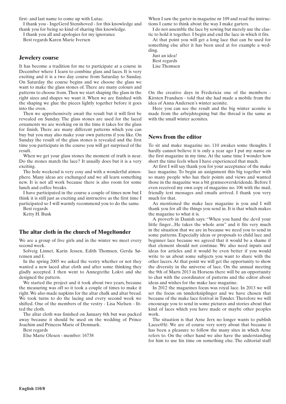first- and last name to come up with Lutac.

I thank you - IngeGerd Stenshoved - for this knowledge and thank you for being so kind of sharing this knowledge.

I thank you all and apologies for my ignorance Best regards Karen Marie Iversen

#### **Jewelery course**

It has become a tradition for me to participate at a course in December where I learn to combine glass and laces. It is very exciting and it is a two day course from Saturday to Sunday. On Saturday the course begins and we choose the glass we want to make the glass stones of. There are many colours and patterns to choose from. Then we start shaping the glass in the right sizes and shapes we want it. When we are finished with the shaping we glue the pieces lightly together before it goes into the oven.

Then we apprehensively await the result but it will first be revealed on Sunday. The glass stones are used for the laced ornaments we are working on in the time it takes for the glass for finish. There are many different patterns which you can buy but you may also make your own patterns if you like. On Sunday the result of the glass stones is revealed and the first time you participate in the course you will get surprised of the result.

When we get your glass stones the moment of truth is near. Do the stones match the lace? It usually does but it is a very exciting.

The hole weekend is very cosy and with a wonderful atmosphere. Many ideas are exchanged and we all learn something new. It is not all work because there is also room for some lunch and coffee breaks.

I have participated in the course a couple of times now but I think it is still just as exciting and instructive as the first time I participated so I will warmly recommend you to do the same. Best regards

Ketty H. Busk

### **The altar cloth in the church of Møgeltønder**

We are a group of five girls and in the winter we meet every second week.

Solveig Linnet, Karin Jessen, Edith Thomsen, Gerda Sørensen and I.

In the spring 2005 we asked the vestry whether or not they wanted a new laced altar cloth and after some thinking they gladly accepted. I then went to Annegrethe Lokvi and she designed the pattern.

We started the project and it took about two years, because the measuring was off so it took a couple of times to make it right. We also made napkins for the altar chalk and altar bread. We took turns to do the lacing and every second week we shifted. One of the members of the vestry - Lisa Nielsen - fitted the cloth.

The altar cloth was finished on January 6th but was packed away because it should be used on the wedding of Prince Joachim and Princess Marie of Denmark.

Best regards

Else Marie Olesen - member: 16738

When I saw the garter in magazine nr 109 and read the instructions I came to think about the way I make garters.

I do not assemble the lace by sowing but merely use the elastic to hold it together. I begin and end the lace in which it fits.

At that point you will get a long lace that can be used for something else after it has been used at for example a wedding.

Just an idea! Best regards Lise Thomsen

On the creative days in Fredericia one of the members - Kirsten Frandsen - told that she had made a mobile from the idea of Anna Andersen's winter aconite.

Here you can see the result and the big winter aconite is made from the arbejdstegning but the thread is the same as with the small winter aconites.

# **News from the editor**

To sit and make magazine no. 110 awakes some thoughts. I hardly cannot believe it is only a year ago I put my name on the first magazine in my time. At the same time I wonder how short the time feels when I have experienced that much.

At first I will say thank you for your acceptance of the make lace magazine. To begin an assignment this big together with so many people who has their points and views and wanted those in the magazine was a bit grænseoverskridende. Before I even received my own copy of magazine no. 106 with the mail, friendly text messages and emails arrived. I thank you very much for that.

As mentioned the make lace magazine is you and I will thank you for all the things you send in. It is that which makes the magazine to what it is.

A proverb in Danish says: "When you hand the devil your little finger...He takes the whole arm" and it fits very much in the situation that we are in because we need you to send in some patterns. Especially ideas or proposals to child lace and beginner lace because we agreed that it would be a shame if that element should not continue. We also need inputs and ideas for articles and it would be even better if you would write to us about some subjects you want to share with the other lacers. At that point we will get the opportunity to show the diversity in the universe of lace. On the annual meeting the 9th of Marts 2013 in Horsens there will be an opportunity to chat with the coordinator of patterns and the editor about ideas and wishes for the make lace magazine.

In 2012 the magazines focus was royal lace. In 2013 we will set the focus on tønderkniplinger and we have chosen that because of the make lace festival in Tønder. Therefore we will encourage you to send in some pictures and stories about that kind of laces which you have made or maybe other peoples work.

The situation is that Arne Jerx no longer wants to publish Lacec@fé. We are of course very sorry about that because it has been a pleasure to follow the many sites in which Arne refers to. On the other hand we also have the understanding for him to use his time on something else. The editorial staff